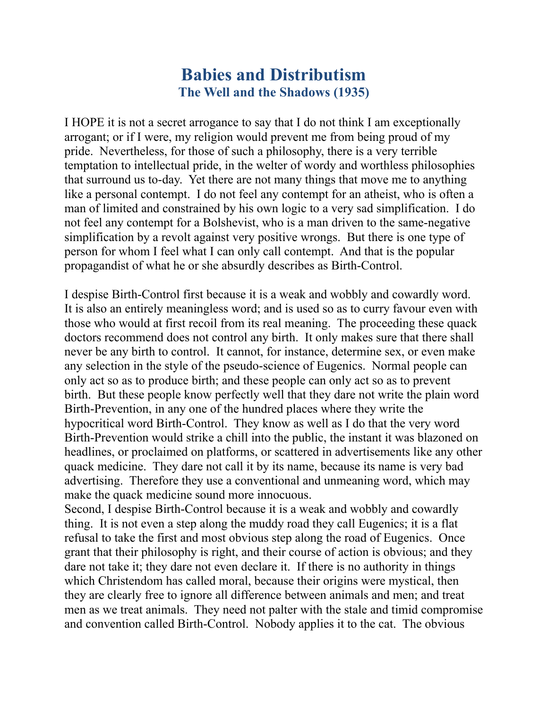## **Babies and Distributism The Well and the Shadows (1935)**

I HOPE it is not a secret arrogance to say that I do not think I am exceptionally arrogant; or if I were, my religion would prevent me from being proud of my pride. Nevertheless, for those of such a philosophy, there is a very terrible temptation to intellectual pride, in the welter of wordy and worthless philosophies that surround us to-day. Yet there are not many things that move me to anything like a personal contempt. I do not feel any contempt for an atheist, who is often a man of limited and constrained by his own logic to a very sad simplification. I do not feel any contempt for a Bolshevist, who is a man driven to the same-negative simplification by a revolt against very positive wrongs. But there is one type of person for whom I feel what I can only call contempt. And that is the popular propagandist of what he or she absurdly describes as Birth-Control.

I despise Birth-Control first because it is a weak and wobbly and cowardly word. It is also an entirely meaningless word; and is used so as to curry favour even with those who would at first recoil from its real meaning. The proceeding these quack doctors recommend does not control any birth. It only makes sure that there shall never be any birth to control. It cannot, for instance, determine sex, or even make any selection in the style of the pseudo-science of Eugenics. Normal people can only act so as to produce birth; and these people can only act so as to prevent birth. But these people know perfectly well that they dare not write the plain word Birth-Prevention, in any one of the hundred places where they write the hypocritical word Birth-Control. They know as well as I do that the very word Birth-Prevention would strike a chill into the public, the instant it was blazoned on headlines, or proclaimed on platforms, or scattered in advertisements like any other quack medicine. They dare not call it by its name, because its name is very bad advertising. Therefore they use a conventional and unmeaning word, which may make the quack medicine sound more innocuous.

Second, I despise Birth-Control because it is a weak and wobbly and cowardly thing. It is not even a step along the muddy road they call Eugenics; it is a flat refusal to take the first and most obvious step along the road of Eugenics. Once grant that their philosophy is right, and their course of action is obvious; and they dare not take it; they dare not even declare it. If there is no authority in things which Christendom has called moral, because their origins were mystical, then they are clearly free to ignore all difference between animals and men; and treat men as we treat animals. They need not palter with the stale and timid compromise and convention called Birth-Control. Nobody applies it to the cat. The obvious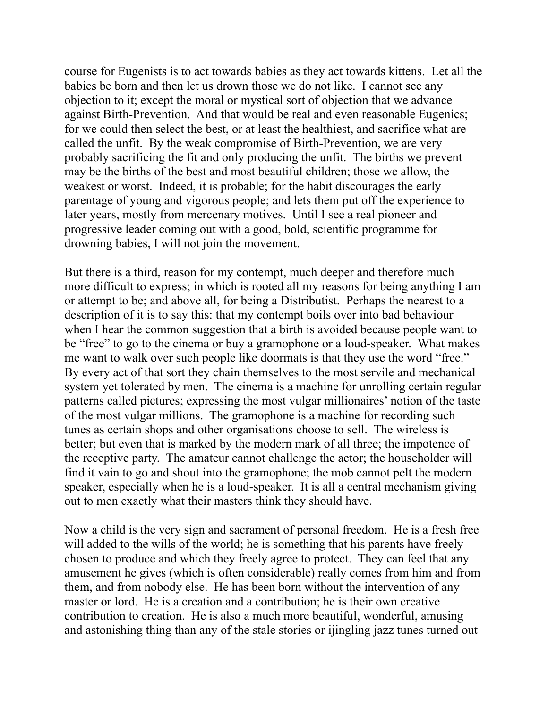course for Eugenists is to act towards babies as they act towards kittens. Let all the babies be born and then let us drown those we do not like. I cannot see any objection to it; except the moral or mystical sort of objection that we advance against Birth-Prevention. And that would be real and even reasonable Eugenics; for we could then select the best, or at least the healthiest, and sacrifice what are called the unfit. By the weak compromise of Birth-Prevention, we are very probably sacrificing the fit and only producing the unfit. The births we prevent may be the births of the best and most beautiful children; those we allow, the weakest or worst. Indeed, it is probable; for the habit discourages the early parentage of young and vigorous people; and lets them put off the experience to later years, mostly from mercenary motives. Until I see a real pioneer and progressive leader coming out with a good, bold, scientific programme for drowning babies, I will not join the movement.

But there is a third, reason for my contempt, much deeper and therefore much more difficult to express; in which is rooted all my reasons for being anything I am or attempt to be; and above all, for being a Distributist. Perhaps the nearest to a description of it is to say this: that my contempt boils over into bad behaviour when I hear the common suggestion that a birth is avoided because people want to be "free" to go to the cinema or buy a gramophone or a loud-speaker. What makes me want to walk over such people like doormats is that they use the word "free." By every act of that sort they chain themselves to the most servile and mechanical system yet tolerated by men. The cinema is a machine for unrolling certain regular patterns called pictures; expressing the most vulgar millionaires' notion of the taste of the most vulgar millions. The gramophone is a machine for recording such tunes as certain shops and other organisations choose to sell. The wireless is better; but even that is marked by the modern mark of all three; the impotence of the receptive party. The amateur cannot challenge the actor; the householder will find it vain to go and shout into the gramophone; the mob cannot pelt the modern speaker, especially when he is a loud-speaker. It is all a central mechanism giving out to men exactly what their masters think they should have.

Now a child is the very sign and sacrament of personal freedom. He is a fresh free will added to the wills of the world; he is something that his parents have freely chosen to produce and which they freely agree to protect. They can feel that any amusement he gives (which is often considerable) really comes from him and from them, and from nobody else. He has been born without the intervention of any master or lord. He is a creation and a contribution; he is their own creative contribution to creation. He is also a much more beautiful, wonderful, amusing and astonishing thing than any of the stale stories or ijingling jazz tunes turned out